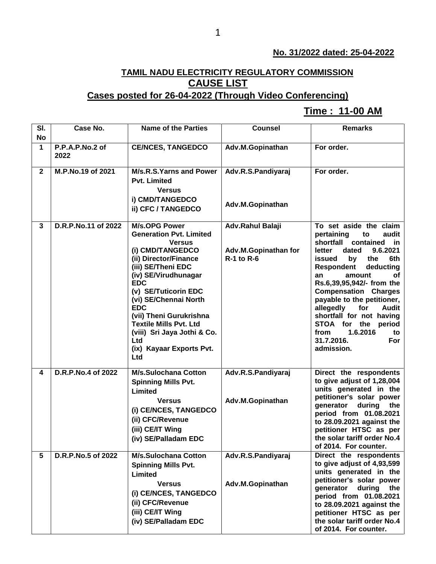## **No. 31/2022 dated: 25-04-2022**

## **TAMIL NADU ELECTRICITY REGULATORY COMMISSION CAUSE LIST**

## **Cases posted for 26-04-2022 (Through Video Conferencing)**

## **Time : 11-00 AM[**

| SI.          | Case No.                | <b>Name of the Parties</b>                                                                                                                                                                                                                                                                                                                                                                  | <b>Counsel</b>                                                | <b>Remarks</b>                                                                                                                                                                                                                                                                                                                                                                                                                                         |
|--------------|-------------------------|---------------------------------------------------------------------------------------------------------------------------------------------------------------------------------------------------------------------------------------------------------------------------------------------------------------------------------------------------------------------------------------------|---------------------------------------------------------------|--------------------------------------------------------------------------------------------------------------------------------------------------------------------------------------------------------------------------------------------------------------------------------------------------------------------------------------------------------------------------------------------------------------------------------------------------------|
| <b>No</b>    |                         |                                                                                                                                                                                                                                                                                                                                                                                             |                                                               |                                                                                                                                                                                                                                                                                                                                                                                                                                                        |
| $\mathbf{1}$ | P.P.A.P.No.2 of<br>2022 | <b>CE/NCES, TANGEDCO</b>                                                                                                                                                                                                                                                                                                                                                                    | Adv.M.Gopinathan                                              | For order.                                                                                                                                                                                                                                                                                                                                                                                                                                             |
| $\mathbf{2}$ | M.P.No.19 of 2021       | M/s.R.S.Yarns and Power<br><b>Pvt. Limited</b><br><b>Versus</b><br>i) CMD/TANGEDCO<br>ii) CFC / TANGEDCO                                                                                                                                                                                                                                                                                    | Adv.R.S.Pandiyaraj<br>Adv.M.Gopinathan                        | For order.                                                                                                                                                                                                                                                                                                                                                                                                                                             |
| 3            | D.R.P.No.11 of 2022     | <b>M/s.OPG Power</b><br><b>Generation Pvt. Limited</b><br><b>Versus</b><br>(i) CMD/TANGEDCO<br>(ii) Director/Finance<br>(iii) SE/Theni EDC<br>(iv) SE/Virudhunagar<br><b>EDC</b><br>(v) SE/Tuticorin EDC<br>(vi) SE/Chennai North<br><b>EDC</b><br>(vii) Theni Gurukrishna<br><b>Textile Mills Pvt. Ltd</b><br>(viii) Sri Jaya Jothi & Co.<br>Ltd<br>(ix) Kayaar Exports Pvt.<br><b>Ltd</b> | Adv.Rahul Balaji<br>Adv.M.Gopinathan for<br><b>R-1 to R-6</b> | To set aside the claim<br>pertaining<br>to<br>audit<br>shortfall contained<br>in<br>dated<br>9.6.2021<br>letter<br>by<br>6th<br>issued<br>the<br><b>Respondent</b><br>deducting<br>amount<br>оf<br>an<br>Rs.6,39,95,942/- from the<br><b>Compensation Charges</b><br>payable to the petitioner,<br>allegedly<br>for<br><b>Audit</b><br>shortfall for not having<br>STOA for the<br>period<br>1.6.2016<br>from<br>to<br>31.7.2016.<br>For<br>admission. |
| 4            | D.R.P.No.4 of 2022      | <b>M/s.Sulochana Cotton</b><br><b>Spinning Mills Pvt.</b><br>Limited<br><b>Versus</b><br>(i) CE/NCES, TANGEDCO<br>(ii) CFC/Revenue<br>(iii) CE/IT Wing<br>(iv) SE/Palladam EDC                                                                                                                                                                                                              | Adv.R.S.Pandiyaraj<br>Adv.M.Gopinathan                        | Direct the respondents<br>to give adjust of 1,28,004<br>units generated in the<br>petitioner's solar power<br>generator<br>during<br>the<br>period from 01.08.2021<br>to 28.09.2021 against the<br>petitioner HTSC as per<br>the solar tariff order No.4<br>of 2014. For counter.                                                                                                                                                                      |
| 5            | D.R.P.No.5 of 2022      | <b>M/s.Sulochana Cotton</b><br><b>Spinning Mills Pvt.</b><br>Limited<br><b>Versus</b><br>(i) CE/NCES, TANGEDCO<br>(ii) CFC/Revenue<br>(iii) CE/IT Wing<br>(iv) SE/Palladam EDC                                                                                                                                                                                                              | Adv.R.S.Pandiyaraj<br>Adv.M.Gopinathan                        | Direct the respondents<br>to give adjust of 4,93,599<br>units generated in the<br>petitioner's solar power<br>generator<br>during<br>the<br>period from 01.08.2021<br>to 28.09.2021 against the<br>petitioner HTSC as per<br>the solar tariff order No.4<br>of 2014. For counter.                                                                                                                                                                      |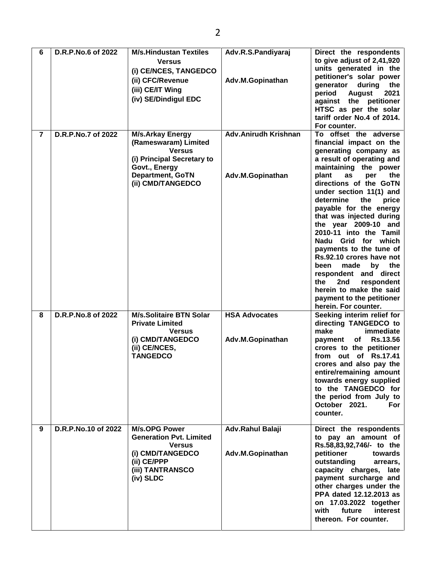| 6              | D.R.P.No.6 of 2022  | <b>M/s.Hindustan Textiles</b><br><b>Versus</b><br>(i) CE/NCES, TANGEDCO<br>(ii) CFC/Revenue<br>(iii) CE/IT Wing<br>(iv) SE/Dindigul EDC                         | Adv.R.S.Pandiyaraj<br>Adv.M.Gopinathan          | Direct the respondents<br>to give adjust of 2,41,920<br>units generated in the<br>petitioner's solar power<br>during<br>generator<br>the<br>period<br><b>August</b><br>2021<br>against the petitioner<br>HTSC as per the solar<br>tariff order No.4 of 2014.<br>For counter.                                                                                                                                                                                                                                                                                                                           |
|----------------|---------------------|-----------------------------------------------------------------------------------------------------------------------------------------------------------------|-------------------------------------------------|--------------------------------------------------------------------------------------------------------------------------------------------------------------------------------------------------------------------------------------------------------------------------------------------------------------------------------------------------------------------------------------------------------------------------------------------------------------------------------------------------------------------------------------------------------------------------------------------------------|
| $\overline{7}$ | D.R.P.No.7 of 2022  | <b>M/s.Arkay Energy</b><br>(Rameswaram) Limited<br><b>Versus</b><br>(i) Principal Secretary to<br>Govt., Energy<br><b>Department, GoTN</b><br>(ii) CMD/TANGEDCO | <b>Adv.Anirudh Krishnan</b><br>Adv.M.Gopinathan | To offset the adverse<br>financial impact on the<br>generating company as<br>a result of operating and<br>maintaining the power<br>plant<br>as<br>per<br>the<br>directions of the GoTN<br>under section 11(1) and<br>determine<br>the<br>price<br>payable for the energy<br>that was injected during<br>the year 2009-10 and<br>2010-11 into the Tamil<br>Nadu Grid for which<br>payments to the tune of<br>Rs.92.10 crores have not<br>made<br>the<br>been<br>by<br>respondent and direct<br>2nd<br>the<br>respondent<br>herein to make the said<br>payment to the petitioner<br>herein. For counter. |
| 8              | D.R.P.No.8 of 2022  | <b>M/s.Solitaire BTN Solar</b><br><b>Private Limited</b><br><b>Versus</b><br>(i) CMD/TANGEDCO<br>(ii) CE/NCES,<br><b>TANGEDCO</b>                               | <b>HSA Advocates</b><br>Adv.M.Gopinathan        | Seeking interim relief for<br>directing TANGEDCO to<br>make<br>immediate<br><b>Rs.13.56</b><br>of<br>payment<br>crores to the petitioner<br>from out of Rs.17.41<br>crores and also pay the<br>entire/remaining amount<br>towards energy supplied<br>to the TANGEDCO for<br>the period from July to<br>October 2021.<br>For<br>counter.                                                                                                                                                                                                                                                                |
| 9              | D.R.P.No.10 of 2022 | <b>M/s.OPG Power</b><br><b>Generation Pvt. Limited</b><br><b>Versus</b><br>(i) CMD/TANGEDCO<br>(ii) CE/PPP<br>(iii) TANTRANSCO<br>(iv) SLDC                     | Adv.Rahul Balaji<br>Adv.M.Gopinathan            | Direct the respondents<br>to pay an amount of<br>Rs.58,83,92,746/- to the<br>petitioner<br>towards<br>outstanding<br>arrears,<br>capacity charges,<br>late<br>payment surcharge and<br>other charges under the<br>PPA dated 12.12.2013 as<br>on 17.03.2022 together<br>with<br>interest<br>future<br>thereon. For counter.                                                                                                                                                                                                                                                                             |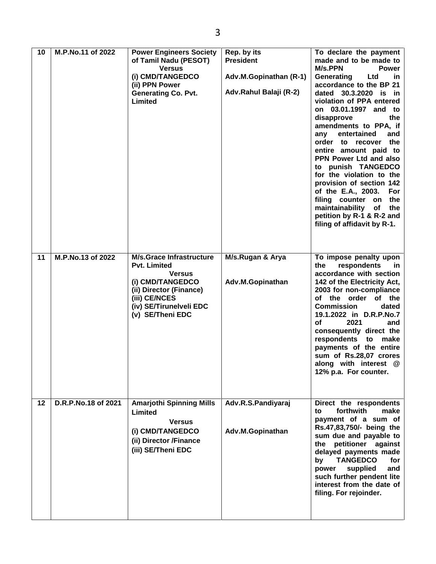| 10 | M.P.No.11 of 2022   | <b>Power Engineers Society</b><br>of Tamil Nadu (PESOT)<br><b>Versus</b><br>(i) CMD/TANGEDCO<br>(ii) PPN Power<br><b>Generating Co. Pvt.</b><br>Limited                                | Rep. by its<br><b>President</b><br>Adv.M.Gopinathan (R-1)<br>Adv.Rahul Balaji (R-2) | To declare the payment<br>made and to be made to<br>M/s.PPN<br><b>Power</b><br>Ltd<br>Generating<br><u>in</u><br>accordance to the BP 21<br>dated 30.3.2020 is in<br>violation of PPA entered<br>on 03.01.1997 and to<br>disapprove<br>the<br>amendments to PPA, if<br>entertained<br>and<br>any<br>order to recover the<br>entire amount paid to<br>PPN Power Ltd and also<br>to punish TANGEDCO<br>for the violation to the<br>provision of section 142<br>of the E.A., 2003.<br>For<br>filing counter on<br>the<br>maintainability of<br>the<br>petition by R-1 & R-2 and<br>filing of affidavit by R-1. |
|----|---------------------|----------------------------------------------------------------------------------------------------------------------------------------------------------------------------------------|-------------------------------------------------------------------------------------|-------------------------------------------------------------------------------------------------------------------------------------------------------------------------------------------------------------------------------------------------------------------------------------------------------------------------------------------------------------------------------------------------------------------------------------------------------------------------------------------------------------------------------------------------------------------------------------------------------------|
| 11 | M.P.No.13 of 2022   | <b>M/s.Grace Infrastructure</b><br><b>Pvt. Limited</b><br><b>Versus</b><br>(i) CMD/TANGEDCO<br>(ii) Director (Finance)<br>(iii) CE/NCES<br>(iv) SE/Tirunelveli EDC<br>(v) SE/Theni EDC | M/s.Rugan & Arya<br>Adv.M.Gopinathan                                                | To impose penalty upon<br>respondents<br>the<br>-in<br>accordance with section<br>142 of the Electricity Act,<br>2003 for non-compliance<br>of the order of the<br><b>Commission</b><br>dated<br>19.1.2022 in D.R.P.No.7<br>2021<br>of<br>and<br>consequently direct the<br>respondents to<br>make<br>payments of the entire<br>sum of Rs.28,07 crores<br>along with interest @<br>12% p.a. For counter.                                                                                                                                                                                                    |
| 12 | D.R.P.No.18 of 2021 | <b>Amarjothi Spinning Mills</b><br>Limited<br><b>Versus</b><br>(i) CMD/TANGEDCO<br>(ii) Director /Finance<br>(iii) SE/Theni EDC                                                        | Adv.R.S.Pandiyaraj<br>Adv.M.Gopinathan                                              | Direct the respondents<br>forthwith<br>make<br>to<br>payment of a sum of<br>Rs.47,83,750/- being the<br>sum due and payable to<br>petitioner against<br>the<br>delayed payments made<br><b>TANGEDCO</b><br>by<br>for<br>power<br>supplied<br>and<br>such further pendent lite<br>interest from the date of<br>filing. For rejoinder.                                                                                                                                                                                                                                                                        |